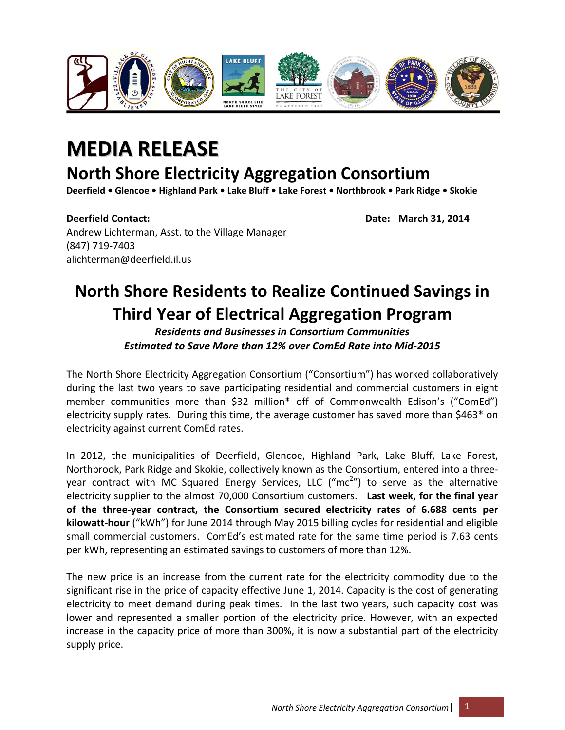

## **MEDIA RELEASE**

## **North Shore Electricity Aggregation Consortium**

Deerfield . Glencoe . Highland Park . Lake Bluff . Lake Forest . Northbrook . Park Ridge . Skokie

**Deerfield Contact: Date: March 31, 2014** Andrew Lichterman, Asst. to the Village Manager (847) 719‐7403 alichterman@deerfield.il.us

## **North Shore Residents to Realize Continued Savings in Third Year of Electrical Aggregation Program**

*Residents and Businesses in Consortium Communities Estimated to Save More than 12% over ComEd Rate into Mid‐2015*

The North Shore Electricity Aggregation Consortium ("Consortium") has worked collaboratively during the last two years to save participating residential and commercial customers in eight member communities more than \$32 million\* off of Commonwealth Edison's ("ComEd") electricity supply rates. During this time, the average customer has saved more than \$463\* on electricity against current ComEd rates.

In 2012, the municipalities of Deerfield, Glencoe, Highland Park, Lake Bluff, Lake Forest, Northbrook, Park Ridge and Skokie, collectively known as the Consortium, entered into a three‐ year contract with MC Squared Energy Services, LLC ("mc<sup>2</sup>") to serve as the alternative electricity supplier to the almost 70,000 Consortium customers. **Last week, for the final year of the three‐year contract, the Consortium secured electricity rates of 6.688 cents per kilowatt‐hour** ("kWh") for June 2014 through May 2015 billing cycles for residential and eligible small commercial customers. ComEd's estimated rate for the same time period is 7.63 cents per kWh, representing an estimated savings to customers of more than 12%.

The new price is an increase from the current rate for the electricity commodity due to the significant rise in the price of capacity effective June 1, 2014. Capacity is the cost of generating electricity to meet demand during peak times. In the last two years, such capacity cost was lower and represented a smaller portion of the electricity price. However, with an expected increase in the capacity price of more than 300%, it is now a substantial part of the electricity supply price.